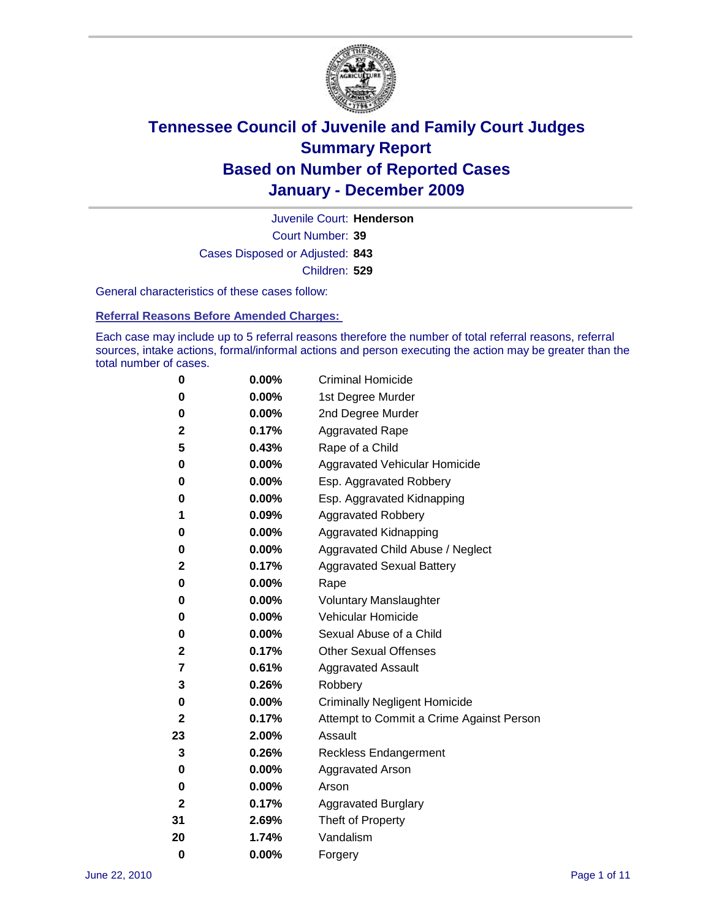

Court Number: **39** Juvenile Court: **Henderson** Cases Disposed or Adjusted: **843** Children: **529**

General characteristics of these cases follow:

**Referral Reasons Before Amended Charges:** 

Each case may include up to 5 referral reasons therefore the number of total referral reasons, referral sources, intake actions, formal/informal actions and person executing the action may be greater than the total number of cases.

| 0  | 0.00% | <b>Criminal Homicide</b>                 |
|----|-------|------------------------------------------|
| 0  | 0.00% | 1st Degree Murder                        |
| 0  | 0.00% | 2nd Degree Murder                        |
| 2  | 0.17% | <b>Aggravated Rape</b>                   |
| 5  | 0.43% | Rape of a Child                          |
| 0  | 0.00% | Aggravated Vehicular Homicide            |
| 0  | 0.00% | Esp. Aggravated Robbery                  |
| 0  | 0.00% | Esp. Aggravated Kidnapping               |
| 1  | 0.09% | <b>Aggravated Robbery</b>                |
| 0  | 0.00% | Aggravated Kidnapping                    |
| 0  | 0.00% | Aggravated Child Abuse / Neglect         |
| 2  | 0.17% | <b>Aggravated Sexual Battery</b>         |
| 0  | 0.00% | Rape                                     |
| 0  | 0.00% | <b>Voluntary Manslaughter</b>            |
| 0  | 0.00% | Vehicular Homicide                       |
| 0  | 0.00% | Sexual Abuse of a Child                  |
| 2  | 0.17% | <b>Other Sexual Offenses</b>             |
| 7  | 0.61% | <b>Aggravated Assault</b>                |
| 3  | 0.26% | Robbery                                  |
| 0  | 0.00% | <b>Criminally Negligent Homicide</b>     |
| 2  | 0.17% | Attempt to Commit a Crime Against Person |
| 23 | 2.00% | Assault                                  |
| 3  | 0.26% | Reckless Endangerment                    |
| 0  | 0.00% | <b>Aggravated Arson</b>                  |
| 0  | 0.00% | Arson                                    |
| 2  | 0.17% | <b>Aggravated Burglary</b>               |
| 31 | 2.69% | Theft of Property                        |
| 20 | 1.74% | Vandalism                                |
| 0  | 0.00% | Forgery                                  |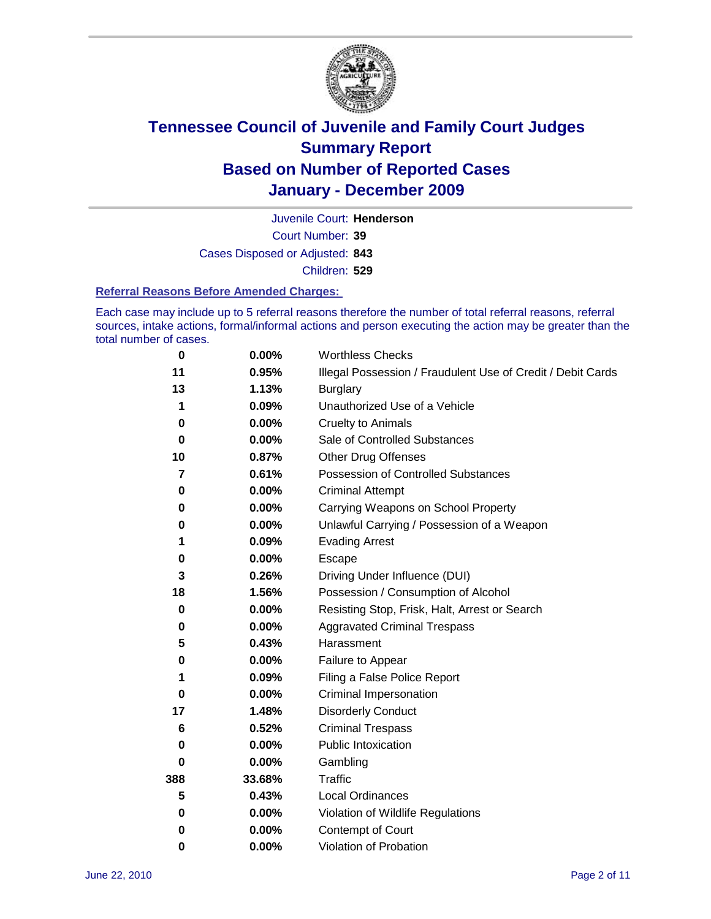

Court Number: **39** Juvenile Court: **Henderson** Cases Disposed or Adjusted: **843** Children: **529**

#### **Referral Reasons Before Amended Charges:**

Each case may include up to 5 referral reasons therefore the number of total referral reasons, referral sources, intake actions, formal/informal actions and person executing the action may be greater than the total number of cases.

| $\bf{0}$ | 0.00%    | <b>Worthless Checks</b>                                     |
|----------|----------|-------------------------------------------------------------|
| 11       | 0.95%    | Illegal Possession / Fraudulent Use of Credit / Debit Cards |
| 13       | 1.13%    | <b>Burglary</b>                                             |
| 1        | 0.09%    | Unauthorized Use of a Vehicle                               |
| 0        | $0.00\%$ | <b>Cruelty to Animals</b>                                   |
| $\bf{0}$ | 0.00%    | Sale of Controlled Substances                               |
| 10       | 0.87%    | <b>Other Drug Offenses</b>                                  |
| 7        | 0.61%    | Possession of Controlled Substances                         |
| 0        | $0.00\%$ | <b>Criminal Attempt</b>                                     |
| 0        | 0.00%    | Carrying Weapons on School Property                         |
| 0        | $0.00\%$ | Unlawful Carrying / Possession of a Weapon                  |
| 1        | 0.09%    | <b>Evading Arrest</b>                                       |
| 0        | 0.00%    | Escape                                                      |
| 3        | 0.26%    | Driving Under Influence (DUI)                               |
| 18       | 1.56%    | Possession / Consumption of Alcohol                         |
| 0        | 0.00%    | Resisting Stop, Frisk, Halt, Arrest or Search               |
| 0        | $0.00\%$ | <b>Aggravated Criminal Trespass</b>                         |
| 5        | 0.43%    | Harassment                                                  |
| 0        | 0.00%    | Failure to Appear                                           |
| 1        | 0.09%    | Filing a False Police Report                                |
| 0        | 0.00%    | Criminal Impersonation                                      |
| 17       | 1.48%    | <b>Disorderly Conduct</b>                                   |
| 6        | 0.52%    | <b>Criminal Trespass</b>                                    |
| $\bf{0}$ | 0.00%    | Public Intoxication                                         |
| 0        | $0.00\%$ | Gambling                                                    |
| 388      | 33.68%   | <b>Traffic</b>                                              |
| 5        | 0.43%    | Local Ordinances                                            |
| 0        | $0.00\%$ | Violation of Wildlife Regulations                           |
| 0        | $0.00\%$ | Contempt of Court                                           |
| 0        | 0.00%    | Violation of Probation                                      |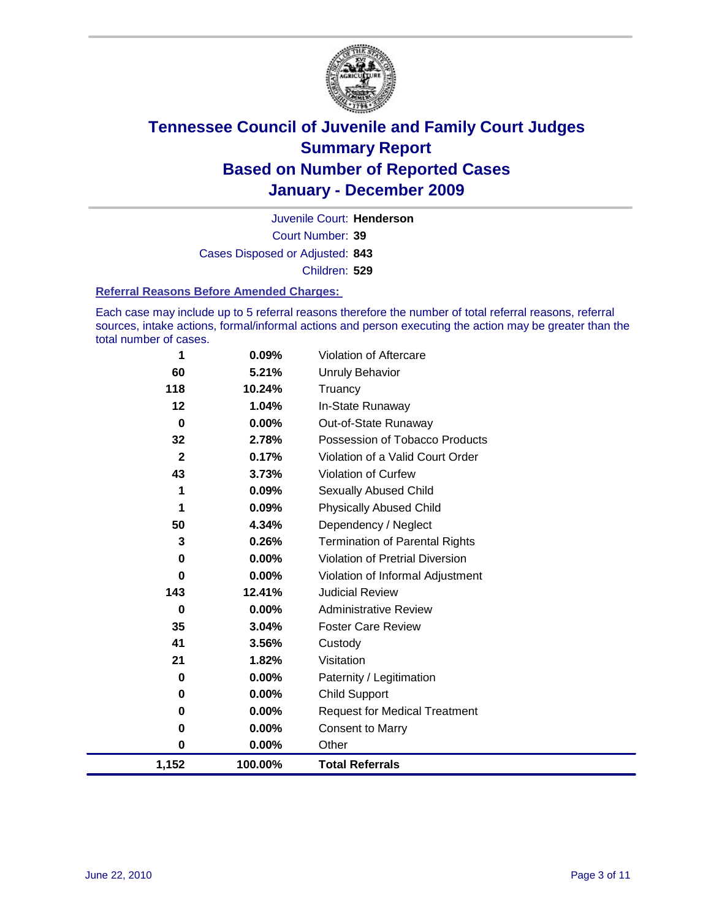

Court Number: **39** Juvenile Court: **Henderson** Cases Disposed or Adjusted: **843** Children: **529**

#### **Referral Reasons Before Amended Charges:**

Each case may include up to 5 referral reasons therefore the number of total referral reasons, referral sources, intake actions, formal/informal actions and person executing the action may be greater than the total number of cases.

| 1            | 0.09%    | Violation of Aftercare                 |
|--------------|----------|----------------------------------------|
| 60           | 5.21%    | <b>Unruly Behavior</b>                 |
| 118          | 10.24%   | Truancy                                |
| 12           | 1.04%    | In-State Runaway                       |
| $\bf{0}$     | 0.00%    | Out-of-State Runaway                   |
| 32           | 2.78%    | Possession of Tobacco Products         |
| $\mathbf{2}$ | 0.17%    | Violation of a Valid Court Order       |
| 43           | 3.73%    | <b>Violation of Curfew</b>             |
| 1            | 0.09%    | <b>Sexually Abused Child</b>           |
| 1            | 0.09%    | <b>Physically Abused Child</b>         |
| 50           | 4.34%    | Dependency / Neglect                   |
| 3            | 0.26%    | <b>Termination of Parental Rights</b>  |
| 0            | $0.00\%$ | <b>Violation of Pretrial Diversion</b> |
| 0            | 0.00%    | Violation of Informal Adjustment       |
| 143          | 12.41%   | <b>Judicial Review</b>                 |
| 0            | $0.00\%$ | <b>Administrative Review</b>           |
| 35           | 3.04%    | <b>Foster Care Review</b>              |
| 41           | 3.56%    | Custody                                |
| 21           | 1.82%    | Visitation                             |
| 0            | $0.00\%$ | Paternity / Legitimation               |
| 0            | 0.00%    | <b>Child Support</b>                   |
| 0            | $0.00\%$ | <b>Request for Medical Treatment</b>   |
| $\bf{0}$     | 0.00%    | <b>Consent to Marry</b>                |
| 0            | 0.00%    | Other                                  |
| 1,152        | 100.00%  | <b>Total Referrals</b>                 |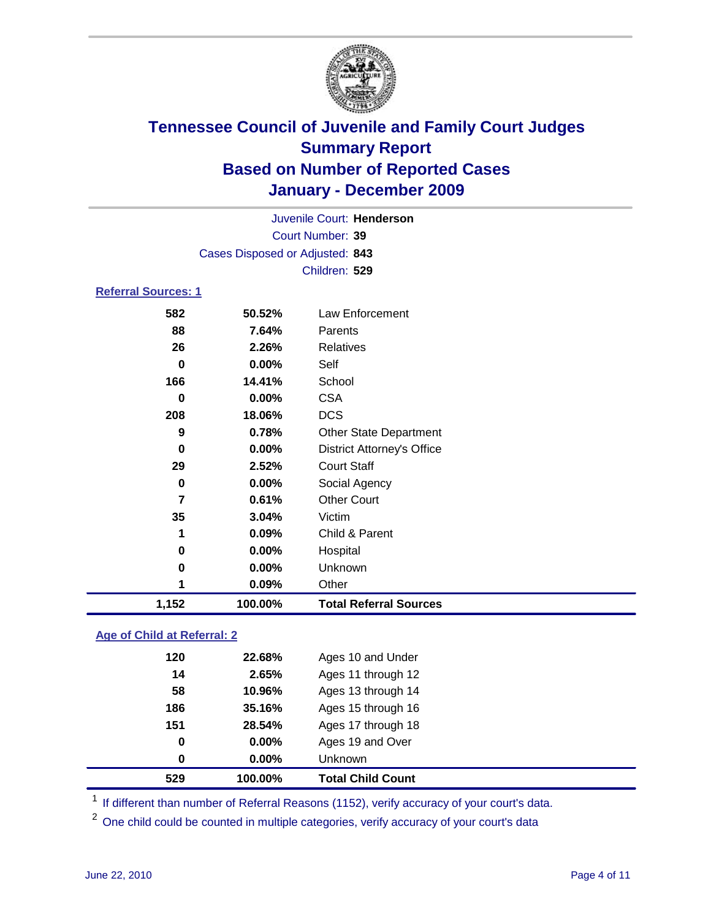

|                            |                                 | Juvenile Court: Henderson         |
|----------------------------|---------------------------------|-----------------------------------|
|                            |                                 | Court Number: 39                  |
|                            | Cases Disposed or Adjusted: 843 |                                   |
|                            |                                 | Children: 529                     |
| <b>Referral Sources: 1</b> |                                 |                                   |
| 582                        | 50.52%                          | <b>Law Enforcement</b>            |
| 88                         | 7.64%                           | Parents                           |
| 26                         | 2.26%                           | Relatives                         |
| $\bf{0}$                   | 0.00%                           | Self                              |
| 166                        | 14.41%                          | School                            |
| 0                          | 0.00%                           | <b>CSA</b>                        |
| 208                        | 18.06%                          | <b>DCS</b>                        |
| 9                          | 0.78%                           | <b>Other State Department</b>     |
| $\bf{0}$                   | 0.00%                           | <b>District Attorney's Office</b> |
| 29                         | 2.52%                           | <b>Court Staff</b>                |
| 0                          | 0.00%                           | Social Agency                     |
| $\overline{7}$             | 0.61%                           | <b>Other Court</b>                |
| 35                         | 3.04%                           | Victim                            |
| 1                          | 0.09%                           | Child & Parent                    |
| 0                          | 0.00%                           | Hospital                          |
| 0                          | 0.00%                           | Unknown                           |
| 1                          | 0.09%                           | Other                             |
| 1,152                      | 100.00%                         | <b>Total Referral Sources</b>     |

### **Age of Child at Referral: 2**

| 529 | 100.00% | <b>Total Child Count</b> |
|-----|---------|--------------------------|
| 0   | 0.00%   | <b>Unknown</b>           |
| 0   | 0.00%   | Ages 19 and Over         |
| 151 | 28.54%  | Ages 17 through 18       |
| 186 | 35.16%  | Ages 15 through 16       |
| 58  | 10.96%  | Ages 13 through 14       |
| 14  | 2.65%   | Ages 11 through 12       |
| 120 | 22.68%  | Ages 10 and Under        |
|     |         |                          |

<sup>1</sup> If different than number of Referral Reasons (1152), verify accuracy of your court's data.

<sup>2</sup> One child could be counted in multiple categories, verify accuracy of your court's data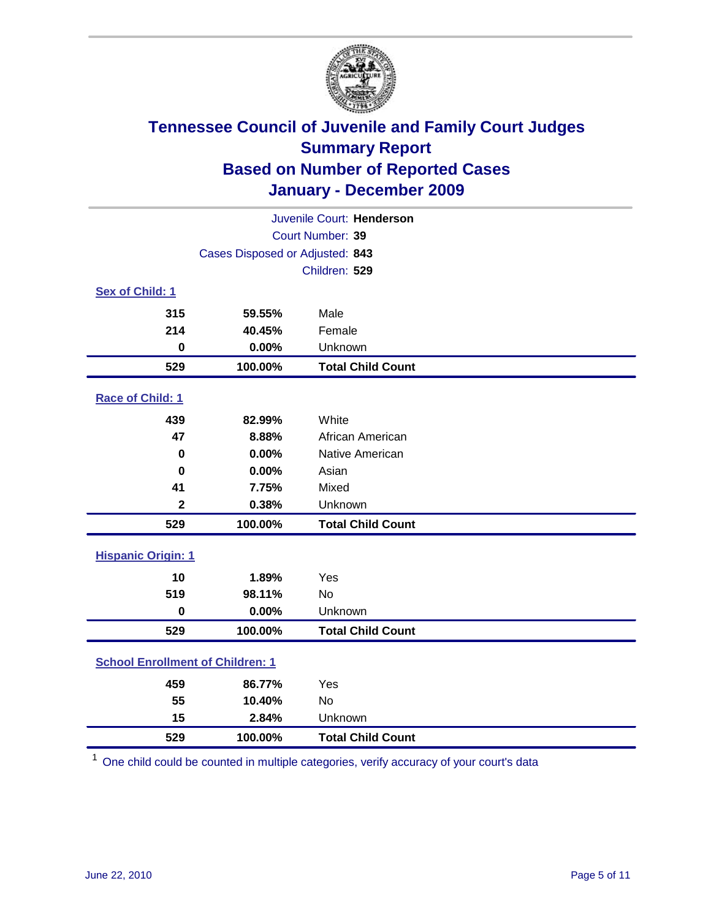

| Juvenile Court: Henderson               |                                 |                          |  |  |  |
|-----------------------------------------|---------------------------------|--------------------------|--|--|--|
|                                         | Court Number: 39                |                          |  |  |  |
|                                         | Cases Disposed or Adjusted: 843 |                          |  |  |  |
|                                         |                                 | Children: 529            |  |  |  |
| Sex of Child: 1                         |                                 |                          |  |  |  |
| 315                                     | 59.55%                          | Male                     |  |  |  |
| 214                                     | 40.45%                          | Female                   |  |  |  |
| $\bf{0}$                                | 0.00%                           | Unknown                  |  |  |  |
| 529                                     | 100.00%                         | <b>Total Child Count</b> |  |  |  |
| Race of Child: 1                        |                                 |                          |  |  |  |
| 439                                     | 82.99%                          | White                    |  |  |  |
| 47                                      | 8.88%                           | African American         |  |  |  |
| $\mathbf 0$                             | 0.00%                           | Native American          |  |  |  |
| 0                                       | 0.00%                           | Asian                    |  |  |  |
| 41                                      | 7.75%                           | Mixed                    |  |  |  |
| $\mathbf{2}$                            | 0.38%                           | Unknown                  |  |  |  |
| 529                                     | 100.00%                         | <b>Total Child Count</b> |  |  |  |
| <b>Hispanic Origin: 1</b>               |                                 |                          |  |  |  |
| 10                                      | 1.89%                           | Yes                      |  |  |  |
| 519                                     | 98.11%                          | No                       |  |  |  |
| $\bf{0}$                                | 0.00%                           | Unknown                  |  |  |  |
| 529                                     | 100.00%                         | <b>Total Child Count</b> |  |  |  |
| <b>School Enrollment of Children: 1</b> |                                 |                          |  |  |  |
| 459                                     | 86.77%                          | Yes                      |  |  |  |
| 55                                      | 10.40%                          | No                       |  |  |  |
| 15                                      | 2.84%                           | Unknown                  |  |  |  |
| 529                                     | 100.00%                         | <b>Total Child Count</b> |  |  |  |

One child could be counted in multiple categories, verify accuracy of your court's data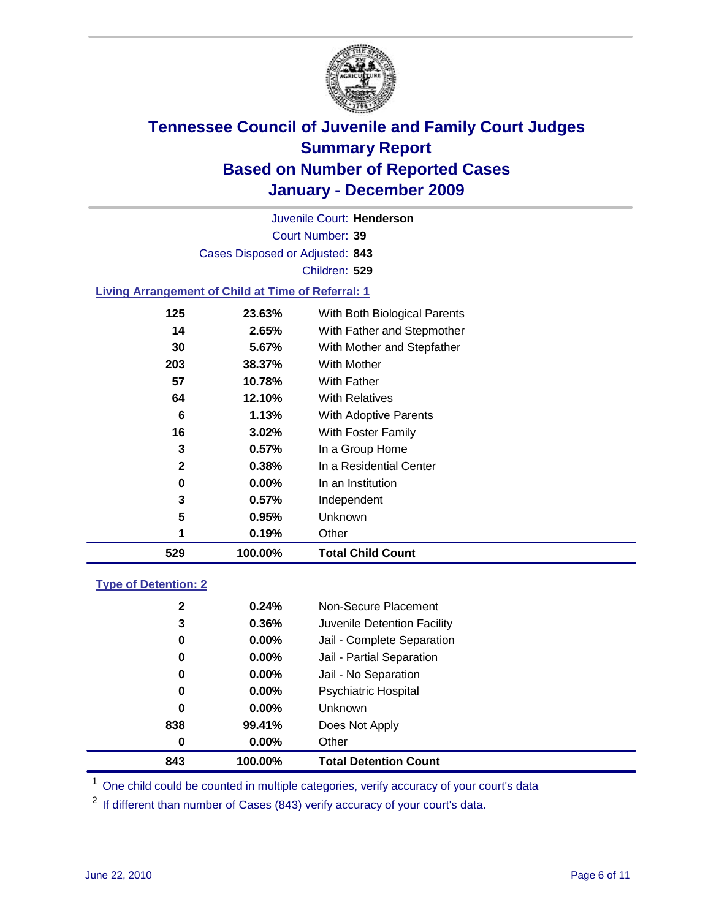

Court Number: **39** Juvenile Court: **Henderson** Cases Disposed or Adjusted: **843** Children: **529**

### **Living Arrangement of Child at Time of Referral: 1**

| 529 | 100.00%  | <b>Total Child Count</b>     |
|-----|----------|------------------------------|
|     | 0.19%    | Other                        |
| 5   | 0.95%    | Unknown                      |
| 3   | $0.57\%$ | Independent                  |
| 0   | $0.00\%$ | In an Institution            |
| 2   | 0.38%    | In a Residential Center      |
| 3   | 0.57%    | In a Group Home              |
| 16  | $3.02\%$ | With Foster Family           |
| 6   | 1.13%    | With Adoptive Parents        |
| 64  | 12.10%   | <b>With Relatives</b>        |
| 57  | 10.78%   | With Father                  |
| 203 | 38.37%   | With Mother                  |
| 30  | 5.67%    | With Mother and Stepfather   |
| 14  | 2.65%    | With Father and Stepmother   |
| 125 | 23.63%   | With Both Biological Parents |
|     |          |                              |

### **Type of Detention: 2**

| 843          | 100.00%  | <b>Total Detention Count</b> |
|--------------|----------|------------------------------|
| 0            | $0.00\%$ | Other                        |
| 838          | 99.41%   | Does Not Apply               |
| 0            | $0.00\%$ | <b>Unknown</b>               |
| 0            | 0.00%    | <b>Psychiatric Hospital</b>  |
| $\bf{0}$     | 0.00%    | Jail - No Separation         |
| 0            | $0.00\%$ | Jail - Partial Separation    |
| 0            | $0.00\%$ | Jail - Complete Separation   |
| 3            | 0.36%    | Juvenile Detention Facility  |
| $\mathbf{2}$ | 0.24%    | Non-Secure Placement         |
|              |          |                              |

<sup>1</sup> One child could be counted in multiple categories, verify accuracy of your court's data

<sup>2</sup> If different than number of Cases (843) verify accuracy of your court's data.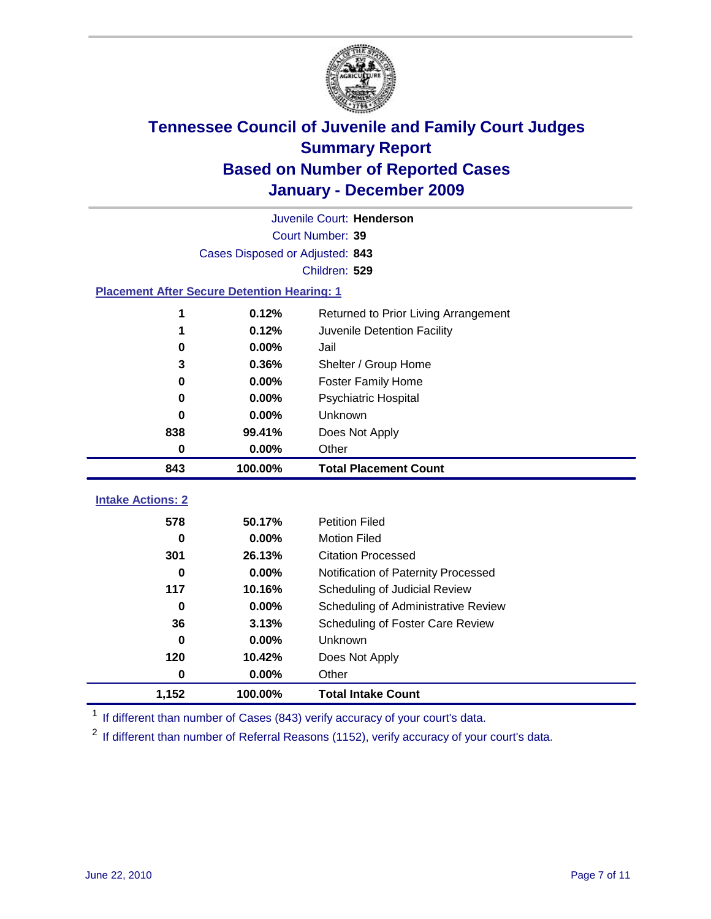

|                                                    | Juvenile Court: Henderson       |                                      |  |  |  |
|----------------------------------------------------|---------------------------------|--------------------------------------|--|--|--|
|                                                    | Court Number: 39                |                                      |  |  |  |
|                                                    | Cases Disposed or Adjusted: 843 |                                      |  |  |  |
|                                                    |                                 | Children: 529                        |  |  |  |
| <b>Placement After Secure Detention Hearing: 1</b> |                                 |                                      |  |  |  |
| 1                                                  | 0.12%                           | Returned to Prior Living Arrangement |  |  |  |
| 1                                                  | 0.12%                           | Juvenile Detention Facility          |  |  |  |
| 0                                                  | 0.00%                           | Jail                                 |  |  |  |
| 3                                                  | 0.36%                           | Shelter / Group Home                 |  |  |  |
| 0                                                  | 0.00%                           | <b>Foster Family Home</b>            |  |  |  |
| $\bf{0}$                                           | 0.00%                           | <b>Psychiatric Hospital</b>          |  |  |  |
| 0                                                  | 0.00%                           | Unknown                              |  |  |  |
| 838                                                | 99.41%                          | Does Not Apply                       |  |  |  |
| 0                                                  | 0.00%                           | Other                                |  |  |  |
| 843                                                | 100.00%                         | <b>Total Placement Count</b>         |  |  |  |
| <b>Intake Actions: 2</b>                           |                                 |                                      |  |  |  |
|                                                    |                                 |                                      |  |  |  |
| 578                                                | 50.17%                          | <b>Petition Filed</b>                |  |  |  |
| $\bf{0}$                                           | 0.00%                           | <b>Motion Filed</b>                  |  |  |  |
| 301                                                | 26.13%                          | <b>Citation Processed</b>            |  |  |  |
| $\bf{0}$                                           | 0.00%                           | Notification of Paternity Processed  |  |  |  |
| 117                                                | 10.16%                          | Scheduling of Judicial Review        |  |  |  |
| $\bf{0}$                                           | 0.00%                           | Scheduling of Administrative Review  |  |  |  |
| 36                                                 | 3.13%                           | Scheduling of Foster Care Review     |  |  |  |
| $\bf{0}$                                           | 0.00%                           | Unknown                              |  |  |  |
| 120                                                | 10.42%                          | Does Not Apply                       |  |  |  |
| 0                                                  | 0.00%                           | Other                                |  |  |  |
| 1,152                                              | 100.00%                         | <b>Total Intake Count</b>            |  |  |  |

<sup>1</sup> If different than number of Cases (843) verify accuracy of your court's data.

<sup>2</sup> If different than number of Referral Reasons (1152), verify accuracy of your court's data.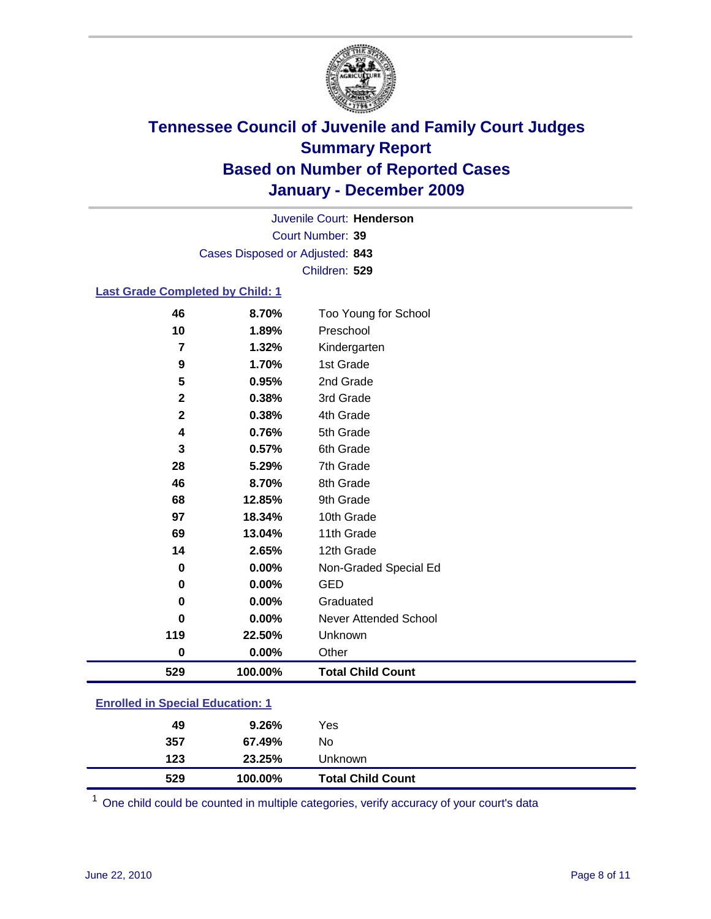

Court Number: **39** Juvenile Court: **Henderson** Cases Disposed or Adjusted: **843** Children: **529**

### **Last Grade Completed by Child: 1**

| 46           | 8.70%   | Too Young for School     |
|--------------|---------|--------------------------|
| 10           | 1.89%   | Preschool                |
| 7            | 1.32%   | Kindergarten             |
| 9            | 1.70%   | 1st Grade                |
| 5            | 0.95%   | 2nd Grade                |
| $\mathbf{2}$ | 0.38%   | 3rd Grade                |
| $\mathbf{2}$ | 0.38%   | 4th Grade                |
| 4            | 0.76%   | 5th Grade                |
| 3            | 0.57%   | 6th Grade                |
| 28           | 5.29%   | 7th Grade                |
| 46           | 8.70%   | 8th Grade                |
| 68           | 12.85%  | 9th Grade                |
| 97           | 18.34%  | 10th Grade               |
| 69           | 13.04%  | 11th Grade               |
| 14           | 2.65%   | 12th Grade               |
| 0            | 0.00%   | Non-Graded Special Ed    |
| 0            | 0.00%   | <b>GED</b>               |
| 0            | 0.00%   | Graduated                |
| 0            | 0.00%   | Never Attended School    |
| 119          | 22.50%  | Unknown                  |
| $\bf{0}$     | 0.00%   | Other                    |
| 529          | 100.00% | <b>Total Child Count</b> |

| 529                                     | 100.00% | <b>Total Child Count</b> |  |  |
|-----------------------------------------|---------|--------------------------|--|--|
| 123                                     | 23.25%  | Unknown                  |  |  |
| 357                                     | 67.49%  | No                       |  |  |
| 49                                      | 9.26%   | Yes                      |  |  |
| <b>Enrolled in Special Education: 1</b> |         |                          |  |  |

One child could be counted in multiple categories, verify accuracy of your court's data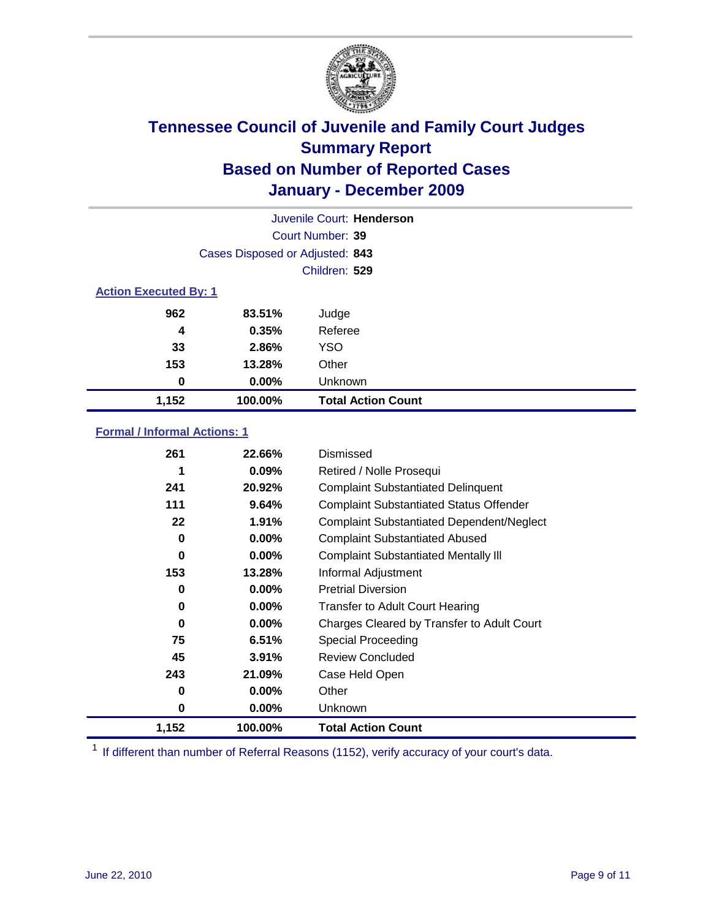

| Juvenile Court: Henderson    |                                 |                           |  |  |
|------------------------------|---------------------------------|---------------------------|--|--|
|                              | Court Number: 39                |                           |  |  |
|                              | Cases Disposed or Adjusted: 843 |                           |  |  |
|                              | Children: 529                   |                           |  |  |
| <b>Action Executed By: 1</b> |                                 |                           |  |  |
| 962                          | 83.51%                          | Judge                     |  |  |
| 4                            | 0.35%                           | Referee                   |  |  |
| 33                           | 2.86%                           | <b>YSO</b>                |  |  |
| 153                          | 13.28%                          | Other                     |  |  |
| 0                            | 0.00%                           | Unknown                   |  |  |
| 1,152                        | 100.00%                         | <b>Total Action Count</b> |  |  |

### **Formal / Informal Actions: 1**

| 261      | 22.66%   | Dismissed                                        |
|----------|----------|--------------------------------------------------|
| 1        | $0.09\%$ | Retired / Nolle Prosequi                         |
| 241      | 20.92%   | <b>Complaint Substantiated Delinquent</b>        |
| 111      | 9.64%    | <b>Complaint Substantiated Status Offender</b>   |
| 22       | 1.91%    | <b>Complaint Substantiated Dependent/Neglect</b> |
| 0        | $0.00\%$ | <b>Complaint Substantiated Abused</b>            |
| $\bf{0}$ | $0.00\%$ | <b>Complaint Substantiated Mentally III</b>      |
| 153      | 13.28%   | Informal Adjustment                              |
| 0        | $0.00\%$ | <b>Pretrial Diversion</b>                        |
| 0        | $0.00\%$ | <b>Transfer to Adult Court Hearing</b>           |
| 0        | $0.00\%$ | Charges Cleared by Transfer to Adult Court       |
| 75       | 6.51%    | Special Proceeding                               |
| 45       | 3.91%    | <b>Review Concluded</b>                          |
| 243      | 21.09%   | Case Held Open                                   |
| 0        | $0.00\%$ | Other                                            |
| 0        | $0.00\%$ | <b>Unknown</b>                                   |
| 1,152    | 100.00%  | <b>Total Action Count</b>                        |

<sup>1</sup> If different than number of Referral Reasons (1152), verify accuracy of your court's data.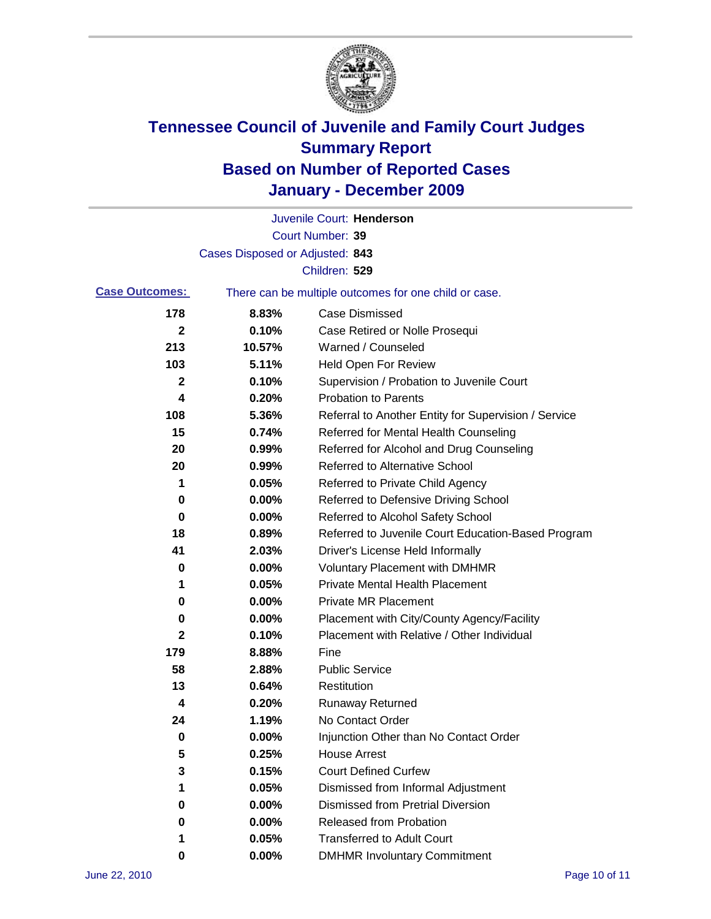

|                       |                                 | Juvenile Court: Henderson                             |
|-----------------------|---------------------------------|-------------------------------------------------------|
|                       |                                 | Court Number: 39                                      |
|                       | Cases Disposed or Adjusted: 843 |                                                       |
|                       |                                 | Children: 529                                         |
| <b>Case Outcomes:</b> |                                 | There can be multiple outcomes for one child or case. |
| 178                   | 8.83%                           | <b>Case Dismissed</b>                                 |
| 2                     | 0.10%                           | Case Retired or Nolle Prosequi                        |
| 213                   | 10.57%                          | Warned / Counseled                                    |
| 103                   | 5.11%                           | <b>Held Open For Review</b>                           |
| 2                     | 0.10%                           | Supervision / Probation to Juvenile Court             |
| 4                     | 0.20%                           | <b>Probation to Parents</b>                           |
| 108                   | 5.36%                           | Referral to Another Entity for Supervision / Service  |
| 15                    | 0.74%                           | Referred for Mental Health Counseling                 |
| 20                    | 0.99%                           | Referred for Alcohol and Drug Counseling              |
| 20                    | 0.99%                           | <b>Referred to Alternative School</b>                 |
| 1                     | 0.05%                           | Referred to Private Child Agency                      |
| 0                     | 0.00%                           | Referred to Defensive Driving School                  |
| 0                     | 0.00%                           | Referred to Alcohol Safety School                     |
| 18                    | 0.89%                           | Referred to Juvenile Court Education-Based Program    |
| 41                    | 2.03%                           | Driver's License Held Informally                      |
| 0                     | 0.00%                           | <b>Voluntary Placement with DMHMR</b>                 |
| 1                     | 0.05%                           | <b>Private Mental Health Placement</b>                |
| 0                     | 0.00%                           | <b>Private MR Placement</b>                           |
| 0                     | 0.00%                           | Placement with City/County Agency/Facility            |
| 2                     | 0.10%                           | Placement with Relative / Other Individual            |
| 179                   | 8.88%                           | Fine                                                  |
| 58                    | 2.88%                           | <b>Public Service</b>                                 |
| 13                    | 0.64%                           | Restitution                                           |
| 4                     | 0.20%                           | <b>Runaway Returned</b>                               |
| 24                    | 1.19%                           | No Contact Order                                      |
| 0                     | 0.00%                           | Injunction Other than No Contact Order                |
| 5                     | 0.25%                           | <b>House Arrest</b>                                   |
| 3                     | 0.15%                           | <b>Court Defined Curfew</b>                           |
| 1                     | 0.05%                           | Dismissed from Informal Adjustment                    |
| 0                     | 0.00%                           | <b>Dismissed from Pretrial Diversion</b>              |
| 0                     | 0.00%                           | Released from Probation                               |
| 1                     | 0.05%                           | <b>Transferred to Adult Court</b>                     |
| 0                     | 0.00%                           | <b>DMHMR Involuntary Commitment</b>                   |